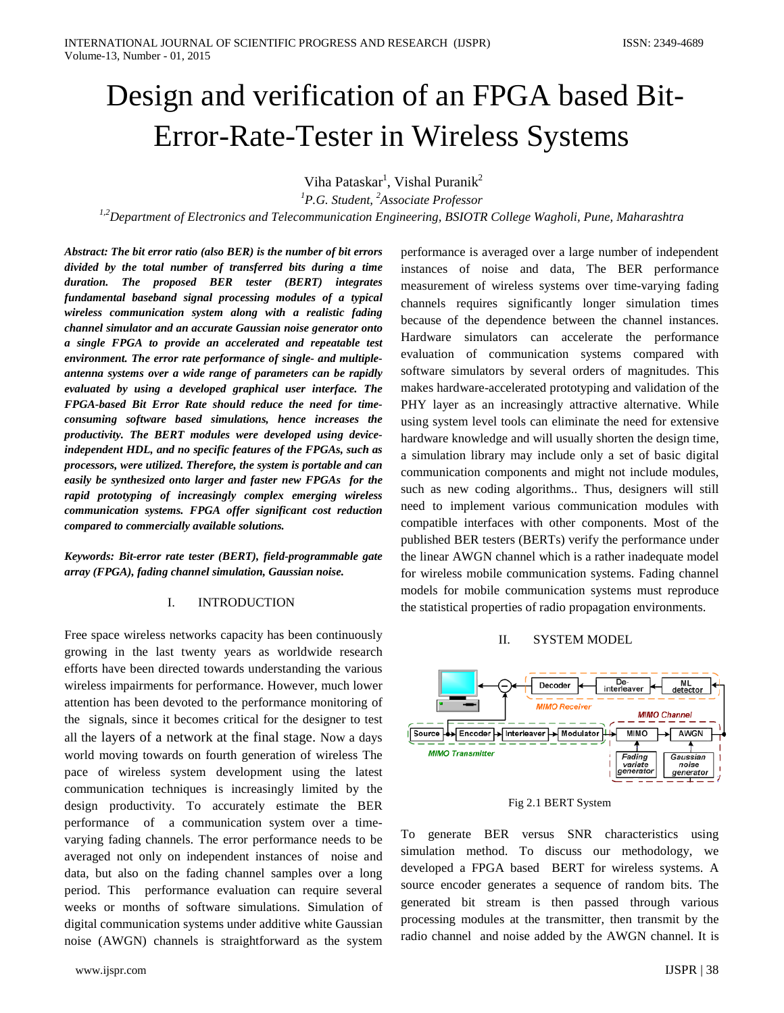# Design and verification of an FPGA based Bit-Error-Rate-Tester in Wireless Systems

Viha Pataskar<sup>1</sup>, Vishal Puranik<sup>2</sup>

*1 P.G. Student, 2 Associate Professor* 

*1,2Department of Electronics and Telecommunication Engineering, BSIOTR College Wagholi, Pune, Maharashtra*

*Abstract: The bit error ratio (also BER) is the number of bit errors divided by the total number of transferred bits during a time duration. The proposed BER tester (BERT) integrates fundamental baseband signal processing modules of a typical wireless communication system along with a realistic fading channel simulator and an accurate Gaussian noise generator onto a single FPGA to provide an accelerated and repeatable test environment. The error rate performance of single- and multipleantenna systems over a wide range of parameters can be rapidly evaluated by using a developed graphical user interface. The FPGA-based Bit Error Rate should reduce the need for timeconsuming software based simulations, hence increases the productivity. The BERT modules were developed using deviceindependent HDL, and no specific features of the FPGAs, such as processors, were utilized. Therefore, the system is portable and can easily be synthesized onto larger and faster new FPGAs for the rapid prototyping of increasingly complex emerging wireless communication systems. FPGA offer significant cost reduction compared to commercially available solutions.*

*Keywords: Bit-error rate tester (BERT), field-programmable gate array (FPGA), fading channel simulation, Gaussian noise.*

#### I. INTRODUCTION

Free space wireless networks capacity has been continuously growing in the last twenty years as worldwide research efforts have been directed towards understanding the various wireless impairments for performance. However, much lower attention has been devoted to the performance monitoring of the signals, since it becomes critical for the designer to test all the layers of a network at the final stage. Now a days world moving towards on fourth generation of wireless The pace of wireless system development using the latest communication techniques is increasingly limited by the design productivity. To accurately estimate the BER performance of a communication system over a timevarying fading channels. The error performance needs to be averaged not only on independent instances of noise and data, but also on the fading channel samples over a long period. This performance evaluation can require several weeks or months of software simulations. Simulation of digital communication systems under additive white Gaussian noise (AWGN) channels is straightforward as the system performance is averaged over a large number of independent instances of noise and data, The BER performance measurement of wireless systems over time-varying fading channels requires significantly longer simulation times because of the dependence between the channel instances. Hardware simulators can accelerate the performance evaluation of communication systems compared with software simulators by several orders of magnitudes. This makes hardware-accelerated prototyping and validation of the PHY layer as an increasingly attractive alternative. While using system level tools can eliminate the need for extensive hardware knowledge and will usually shorten the design time, a simulation library may include only a set of basic digital communication components and might not include modules, such as new coding algorithms.. Thus, designers will still need to implement various communication modules with compatible interfaces with other components. Most of the published BER testers (BERTs) verify the performance under the linear AWGN channel which is a rather inadequate model for wireless mobile communication systems. Fading channel models for mobile communication systems must reproduce the statistical properties of radio propagation environments.

# II. SYSTEM MODEL



Fig 2.1 BERT System

To generate BER versus SNR characteristics using simulation method. To discuss our methodology, we developed a FPGA based BERT for wireless systems. A source encoder generates a sequence of random bits. The generated bit stream is then passed through various processing modules at the transmitter, then transmit by the radio channel and noise added by the AWGN channel. It is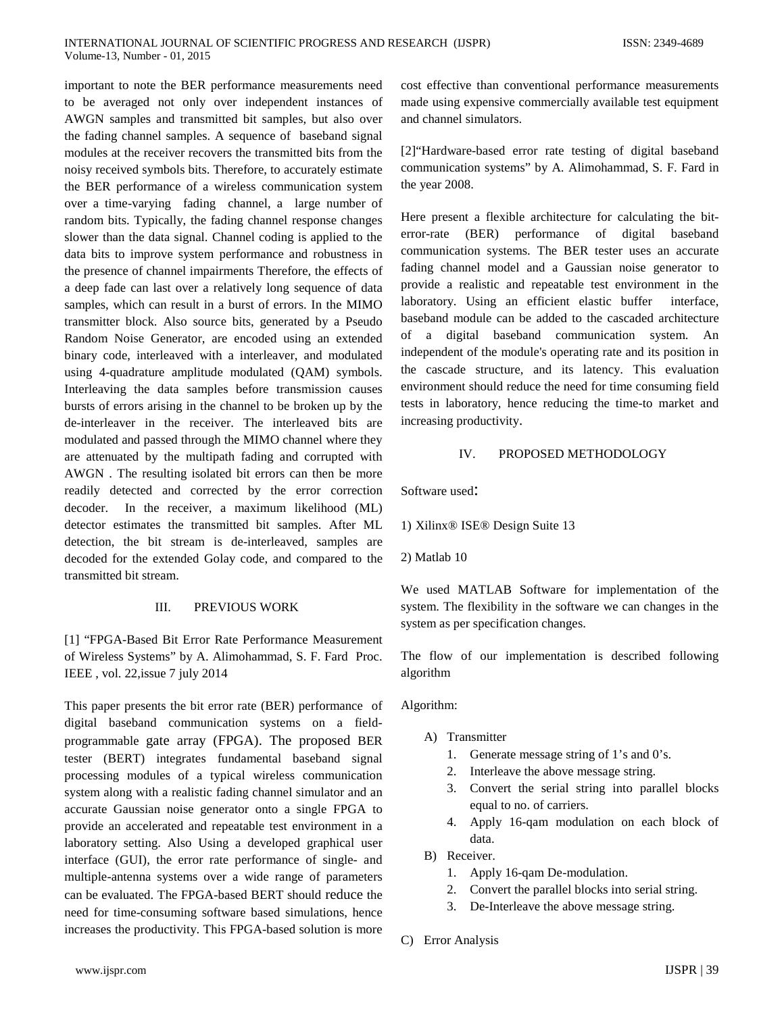important to note the BER performance measurements need to be averaged not only over independent instances of AWGN samples and transmitted bit samples, but also over the fading channel samples. A sequence of baseband signal modules at the receiver recovers the transmitted bits from the noisy received symbols bits. Therefore, to accurately estimate the BER performance of a wireless communication system over a time-varying fading channel, a large number of random bits. Typically, the fading channel response changes slower than the data signal. Channel coding is applied to the data bits to improve system performance and robustness in the presence of channel impairments Therefore, the effects of a deep fade can last over a relatively long sequence of data samples, which can result in a burst of errors. In the MIMO transmitter block. Also source bits, generated by a Pseudo Random Noise Generator, are encoded using an extended binary code, interleaved with a interleaver, and modulated using 4-quadrature amplitude modulated (QAM) symbols. Interleaving the data samples before transmission causes bursts of errors arising in the channel to be broken up by the de-interleaver in the receiver. The interleaved bits are modulated and passed through the MIMO channel where they are attenuated by the multipath fading and corrupted with AWGN . The resulting isolated bit errors can then be more readily detected and corrected by the error correction decoder. In the receiver, a maximum likelihood (ML) detector estimates the transmitted bit samples. After ML detection, the bit stream is de-interleaved, samples are decoded for the extended Golay code, and compared to the transmitted bit stream.

### III. PREVIOUS WORK

[1] "FPGA-Based Bit Error Rate Performance Measurement of Wireless Systems" by A. Alimohammad, S. F. Fard Proc. IEEE , vol. 22,issue 7 july 2014

This paper presents the bit error rate (BER) performance of digital baseband communication systems on a fieldprogrammable gate array (FPGA). The proposed BER tester (BERT) integrates fundamental baseband signal processing modules of a typical wireless communication system along with a realistic fading channel simulator and an accurate Gaussian noise generator onto a single FPGA to provide an accelerated and repeatable test environment in a laboratory setting. Also Using a developed graphical user interface (GUI), the error rate performance of single- and multiple-antenna systems over a wide range of parameters can be evaluated. The FPGA-based BERT should reduce the need for time-consuming software based simulations, hence increases the productivity. This FPGA-based solution is more cost effective than conventional performance measurements made using expensive commercially available test equipment and channel simulators.

[2]"Hardware-based error rate testing of digital baseband communication systems" by A. Alimohammad, S. F. Fard in the year 2008.

Here present a flexible architecture for calculating the biterror-rate (BER) performance of digital baseband communication systems. The BER tester uses an accurate fading channel model and a Gaussian noise generator to provide a realistic and repeatable test environment in the laboratory. Using an efficient elastic buffer interface, baseband module can be added to the cascaded architecture of a digital baseband communication system. An independent of the module's operating rate and its position in the cascade structure, and its latency. This evaluation environment should reduce the need for time consuming field tests in laboratory, hence reducing the time-to market and increasing productivity.

#### IV. PROPOSED METHODOLOGY

Software used:

1) Xilinx® ISE® Design Suite 13

2) Matlab 10

We used MATLAB Software for implementation of the system. The flexibility in the software we can changes in the system as per specification changes.

The flow of our implementation is described following algorithm

#### Algorithm:

- A) Transmitter
	- 1. Generate message string of 1's and 0's.
	- 2. Interleave the above message string.
	- 3. Convert the serial string into parallel blocks equal to no. of carriers.
	- 4. Apply 16-qam modulation on each block of data.
- B) Receiver.
	- 1. Apply 16-qam De-modulation.
	- 2. Convert the parallel blocks into serial string.
	- 3. De-Interleave the above message string.
- C) Error Analysis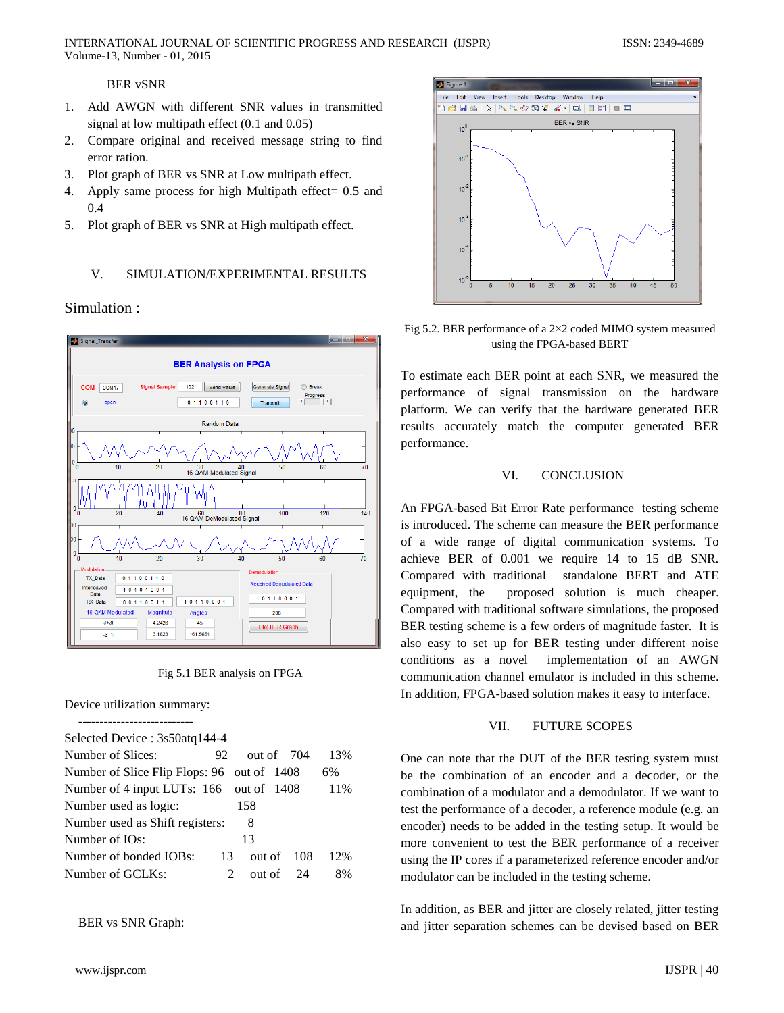## BER vSNR

- 1. Add AWGN with different SNR values in transmitted signal at low multipath effect (0.1 and 0.05)
- 2. Compare original and received message string to find error ration.
- 3. Plot graph of BER vs SNR at Low multipath effect.
- 4. Apply same process for high Multipath effect= 0.5 and 0.4
- 5. Plot graph of BER vs SNR at High multipath effect.

# V. SIMULATION/EXPERIMENTAL RESULTS

# Simulation :



Fig 5.1 BER analysis on FPGA

Device utilization summary:

| Selected Device : 3s50atq144-4             |     |              |  |              |     |  |
|--------------------------------------------|-----|--------------|--|--------------|-----|--|
| Number of Slices:                          | 92. | out of $704$ |  |              | 13% |  |
| Number of Slice Flip Flops: 96 out of 1408 |     |              |  |              | 6%  |  |
| Number of 4 input LUTs: 166 out of 1408    |     |              |  |              | 11% |  |
| Number used as logic:                      |     | 158          |  |              |     |  |
| Number used as Shift registers:<br>8       |     |              |  |              |     |  |
| Number of IOs:                             |     | 13           |  |              |     |  |
| Number of bonded IOBs:                     | 13  |              |  | out of $108$ | 12% |  |
| Number of GCLKs:                           | 2   |              |  | out of $24$  | 8%  |  |
|                                            |     |              |  |              |     |  |

BER vs SNR Graph:



Fig 5.2. BER performance of a 2×2 coded MIMO system measured using the FPGA-based BERT

To estimate each BER point at each SNR, we measured the performance of signal transmission on the hardware platform. We can verify that the hardware generated BER results accurately match the computer generated BER performance.

### VI. CONCLUSION

An FPGA-based Bit Error Rate performance testing scheme is introduced. The scheme can measure the BER performance of a wide range of digital communication systems. To achieve BER of 0.001 we require 14 to 15 dB SNR. Compared with traditional standalone BERT and ATE equipment, the proposed solution is much cheaper. Compared with traditional software simulations, the proposed BER testing scheme is a few orders of magnitude faster. It is also easy to set up for BER testing under different noise conditions as a novel implementation of an AWGN communication channel emulator is included in this scheme. In addition, FPGA-based solution makes it easy to interface.

### VII. FUTURE SCOPES

One can note that the DUT of the BER testing system must be the combination of an encoder and a decoder, or the combination of a modulator and a demodulator. If we want to test the performance of a decoder, a reference module (e.g. an encoder) needs to be added in the testing setup. It would be more convenient to test the BER performance of a receiver using the IP cores if a parameterized reference encoder and/or modulator can be included in the testing scheme.

In addition, as BER and jitter are closely related, jitter testing and jitter separation schemes can be devised based on BER